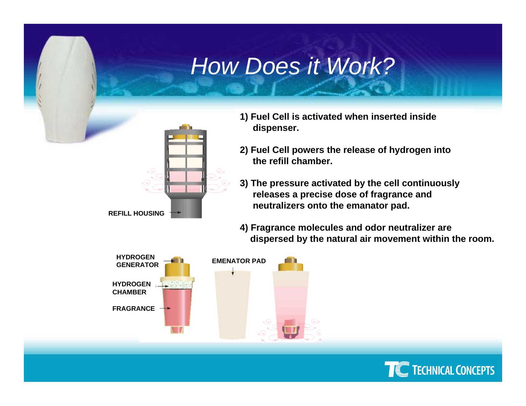## *How Does it Work?*



- **1) Fuel Cell is activated when inserted inside dispenser.**
- **2) Fuel Cell powers t he release of hydrogen into the refill chamber.**
- **3) The pressure activated b y the cell continuously releases a precise dose of fragrance and n eutralizers o nto the emanator pad.**
- **4) Fragrance molecules and odor neutralizer are dispersed by the natural air movement within the room.**



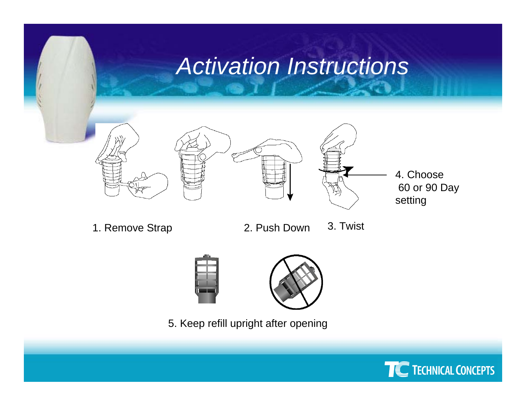## *Activation Instructions*







4. Choose60 or 90 Day setting

1. Remove Strap

- 2. Push Down 3. Twist
- 



5. Keep refill upright after opening

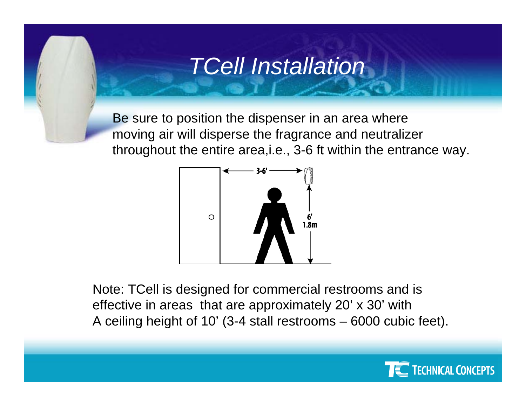### *TCell Installation*

Be sure to position the dispenser in an area where moving air will disperse the fragrance and neutralizer throughout the entire area,i.e., 3-6 ft within the entrance way.



Note: TCell is designed for commercial restrooms and is effective in areas that are approximately 20' x 30' with A ceiling height of 10' (3-4 stall restrooms – 6000 cubic feet).

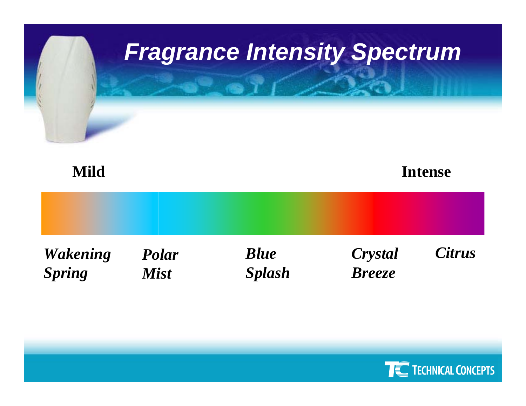